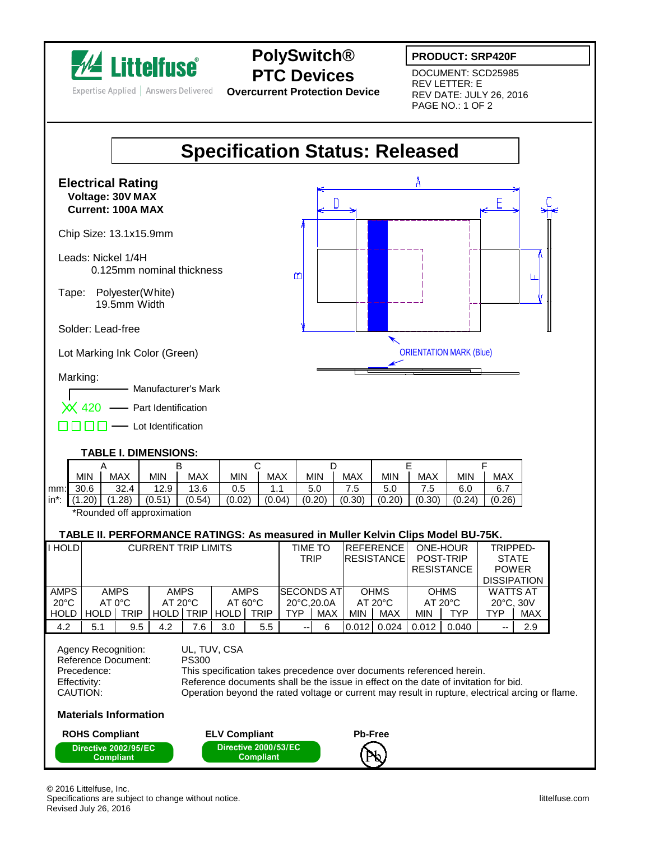

Expertise Applied | Answers Delivered

## **PolySwitch® PTC Devices**

**Overcurrent Protection Device**

## **PRODUCT: SRP420F**

DOCUMENT: SCD25985 REV LETTER: E REV DATE: JULY 26, 2016 PAGE NO.: 1 OF 2